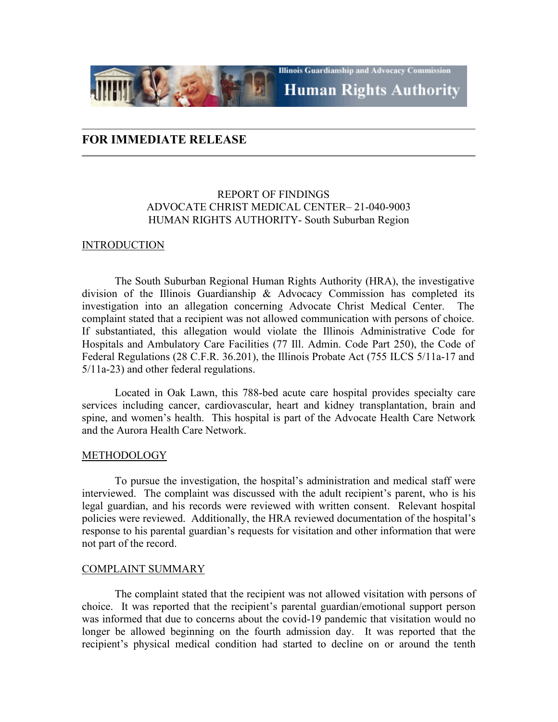## **FOR IMMEDIATE RELEASE**

## REPORT OF FINDINGS ADVOCATE CHRIST MEDICAL CENTER– 21-040-9003 HUMAN RIGHTS AUTHORITY- South Suburban Region

**Illinois Guardianship and Advocacy Commission** 

**Human Rights Authority** 

## INTRODUCTION

The South Suburban Regional Human Rights Authority (HRA), the investigative division of the Illinois Guardianship & Advocacy Commission has completed its investigation into an allegation concerning Advocate Christ Medical Center. The complaint stated that a recipient was not allowed communication with persons of choice. If substantiated, this allegation would violate the Illinois Administrative Code for Hospitals and Ambulatory Care Facilities (77 Ill. Admin. Code Part 250), the Code of Federal Regulations (28 C.F.R. 36.201), the Illinois Probate Act (755 ILCS 5/11a-17 and 5/11a-23) and other federal regulations.

Located in Oak Lawn, this 788-bed acute care hospital provides specialty care services including cancer, cardiovascular, heart and kidney transplantation, brain and spine, and women's health. This hospital is part of the Advocate Health Care Network and the Aurora Health Care Network.

## METHODOLOGY

To pursue the investigation, the hospital's administration and medical staff were interviewed. The complaint was discussed with the adult recipient's parent, who is his legal guardian, and his records were reviewed with written consent. Relevant hospital policies were reviewed. Additionally, the HRA reviewed documentation of the hospital's response to his parental guardian's requests for visitation and other information that were not part of the record.

## COMPLAINT SUMMARY

The complaint stated that the recipient was not allowed visitation with persons of choice. It was reported that the recipient's parental guardian/emotional support person was informed that due to concerns about the covid-19 pandemic that visitation would no longer be allowed beginning on the fourth admission day. It was reported that the recipient's physical medical condition had started to decline on or around the tenth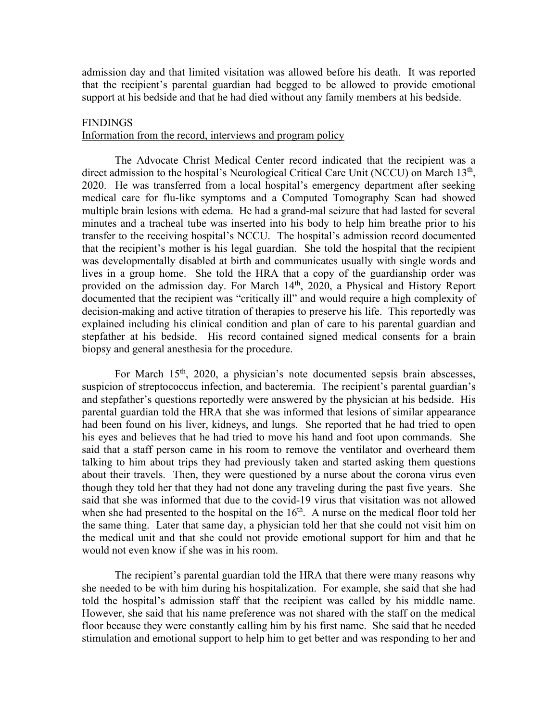admission day and that limited visitation was allowed before his death. It was reported that the recipient's parental guardian had begged to be allowed to provide emotional support at his bedside and that he had died without any family members at his bedside.

## **FINDINGS**

## Information from the record, interviews and program policy

The Advocate Christ Medical Center record indicated that the recipient was a direct admission to the hospital's Neurological Critical Care Unit (NCCU) on March 13<sup>th</sup>, 2020. He was transferred from a local hospital's emergency department after seeking medical care for flu-like symptoms and a Computed Tomography Scan had showed multiple brain lesions with edema. He had a grand-mal seizure that had lasted for several minutes and a tracheal tube was inserted into his body to help him breathe prior to his transfer to the receiving hospital's NCCU. The hospital's admission record documented that the recipient's mother is his legal guardian. She told the hospital that the recipient was developmentally disabled at birth and communicates usually with single words and lives in a group home. She told the HRA that a copy of the guardianship order was provided on the admission day. For March 14<sup>th</sup>, 2020, a Physical and History Report documented that the recipient was "critically ill" and would require a high complexity of decision-making and active titration of therapies to preserve his life. This reportedly was explained including his clinical condition and plan of care to his parental guardian and stepfather at his bedside. His record contained signed medical consents for a brain biopsy and general anesthesia for the procedure.

For March 15<sup>th</sup>, 2020, a physician's note documented sepsis brain abscesses, suspicion of streptococcus infection, and bacteremia. The recipient's parental guardian's and stepfather's questions reportedly were answered by the physician at his bedside. His parental guardian told the HRA that she was informed that lesions of similar appearance had been found on his liver, kidneys, and lungs. She reported that he had tried to open his eyes and believes that he had tried to move his hand and foot upon commands. She said that a staff person came in his room to remove the ventilator and overheard them talking to him about trips they had previously taken and started asking them questions about their travels. Then, they were questioned by a nurse about the corona virus even though they told her that they had not done any traveling during the past five years. She said that she was informed that due to the covid-19 virus that visitation was not allowed when she had presented to the hospital on the  $16<sup>th</sup>$ . A nurse on the medical floor told her the same thing. Later that same day, a physician told her that she could not visit him on the medical unit and that she could not provide emotional support for him and that he would not even know if she was in his room.

The recipient's parental guardian told the HRA that there were many reasons why she needed to be with him during his hospitalization. For example, she said that she had told the hospital's admission staff that the recipient was called by his middle name. However, she said that his name preference was not shared with the staff on the medical floor because they were constantly calling him by his first name. She said that he needed stimulation and emotional support to help him to get better and was responding to her and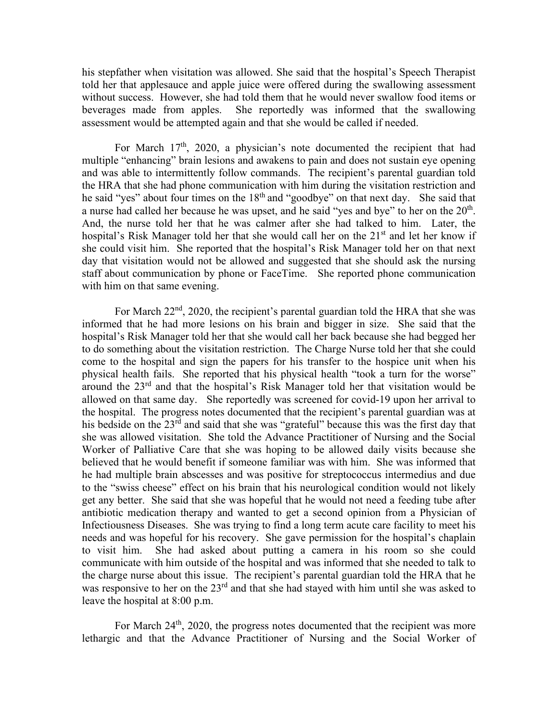his stepfather when visitation was allowed. She said that the hospital's Speech Therapist told her that applesauce and apple juice were offered during the swallowing assessment without success. However, she had told them that he would never swallow food items or beverages made from apples. She reportedly was informed that the swallowing assessment would be attempted again and that she would be called if needed.

For March  $17<sup>th</sup>$ , 2020, a physician's note documented the recipient that had multiple "enhancing" brain lesions and awakens to pain and does not sustain eye opening and was able to intermittently follow commands. The recipient's parental guardian told the HRA that she had phone communication with him during the visitation restriction and he said "yes" about four times on the 18<sup>th</sup> and "goodbye" on that next day. She said that a nurse had called her because he was upset, and he said "yes and bye" to her on the  $20<sup>th</sup>$ . And, the nurse told her that he was calmer after she had talked to him. Later, the hospital's Risk Manager told her that she would call her on the 21<sup>st</sup> and let her know if she could visit him. She reported that the hospital's Risk Manager told her on that next day that visitation would not be allowed and suggested that she should ask the nursing staff about communication by phone or FaceTime. She reported phone communication with him on that same evening.

For March 22<sup>nd</sup>, 2020, the recipient's parental guardian told the HRA that she was informed that he had more lesions on his brain and bigger in size. She said that the hospital's Risk Manager told her that she would call her back because she had begged her to do something about the visitation restriction. The Charge Nurse told her that she could come to the hospital and sign the papers for his transfer to the hospice unit when his physical health fails. She reported that his physical health "took a turn for the worse" around the  $23<sup>rd</sup>$  and that the hospital's Risk Manager told her that visitation would be allowed on that same day. She reportedly was screened for covid-19 upon her arrival to the hospital. The progress notes documented that the recipient's parental guardian was at his bedside on the 23<sup>rd</sup> and said that she was "grateful" because this was the first day that she was allowed visitation. She told the Advance Practitioner of Nursing and the Social Worker of Palliative Care that she was hoping to be allowed daily visits because she believed that he would benefit if someone familiar was with him. She was informed that he had multiple brain abscesses and was positive for streptococcus intermedius and due to the "swiss cheese" effect on his brain that his neurological condition would not likely get any better. She said that she was hopeful that he would not need a feeding tube after antibiotic medication therapy and wanted to get a second opinion from a Physician of Infectiousness Diseases. She was trying to find a long term acute care facility to meet his needs and was hopeful for his recovery. She gave permission for the hospital's chaplain to visit him. She had asked about putting a camera in his room so she could communicate with him outside of the hospital and was informed that she needed to talk to the charge nurse about this issue. The recipient's parental guardian told the HRA that he was responsive to her on the 23<sup>rd</sup> and that she had stayed with him until she was asked to leave the hospital at 8:00 p.m.

For March  $24<sup>th</sup>$ ,  $2020$ , the progress notes documented that the recipient was more lethargic and that the Advance Practitioner of Nursing and the Social Worker of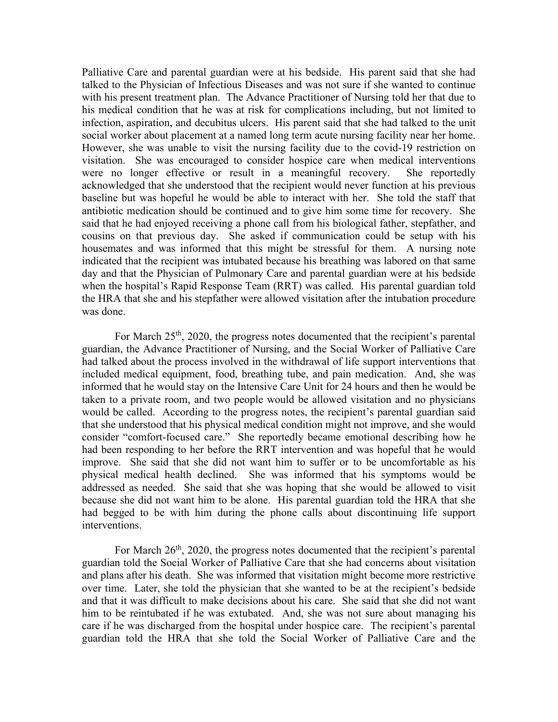Palliative Care and parental guardian were at his bedside. His parent said that she had talked to the Physician of Infectious Diseases and was not sure if she wanted to continue with his present treatment plan. The Advance Practitioner of Nursing told her that due to his medical condition that he was at risk for complications including, but not limited to infection, aspiration, and decubitus ulcers. His parent said that she had talked to the unit social worker about placement at a named long term acute nursing facility near her home. However, she was unable to visit the nursing facility due to the covid-19 restriction on visitation. She was encouraged to consider hospice care when medical interventions were no longer effective or result in a meaningful recovery. She reportedly acknowledged that she understood that the recipient would never function at his previous baseline but was hopeful he would be able to interact with her. She told the staff that antibiotic medication should be continued and to give him some time for recovery. She said that he had enjoyed receiving a phone call from his biological father, stepfather, and cousins on that previous day. She asked if communication could be setup with his housemates and was informed that this might be stressful for them. A nursing note indicated that the recipient was intubated because his breathing was labored on that same day and that the Physician of Pulmonary Care and parental guardian were at his bedside when the hospital's Rapid Response Team (RRT) was called. His parental guardian told the HRA that she and his stepfather were allowed visitation after the intubation procedure was done.

For March  $25<sup>th</sup>$ , 2020, the progress notes documented that the recipient's parental guardian, the Advance Practitioner of Nursing, and the Social Worker of Palliative Care had talked about the process involved in the withdrawal of life support interventions that included medical equipment, food, breathing tube, and pain medication. And, she was informed that he would stay on the Intensive Care Unit for 24 hours and then he would be taken to a private room, and two people would be allowed visitation and no physicians would be called. According to the progress notes, the recipient's parental guardian said that she understood that his physical medical condition might not improve, and she would consider "comfort-focused care." She reportedly became emotional describing how he had been responding to her before the RRT intervention and was hopeful that he would improve. She said that she did not want him to suffer or to be uncomfortable as his physical medical health declined. She was informed that his symptoms would be addressed as needed. She said that she was hoping that she would be allowed to visit because she did not want him to be alone. His parental guardian told the HRA that she had begged to be with him during the phone calls about discontinuing life support interventions.

For March  $26<sup>th</sup>$ , 2020, the progress notes documented that the recipient's parental guardian told the Social Worker of Palliative Care that she had concerns about visitation and plans after his death. She was informed that visitation might become more restrictive over time. Later, she told the physician that she wanted to be at the recipient's bedside and that it was difficult to make decisions about his care. She said that she did not want him to be reintubated if he was extubated. And, she was not sure about managing his care if he was discharged from the hospital under hospice care. The recipient's parental guardian told the HRA that she told the Social Worker of Palliative Care and the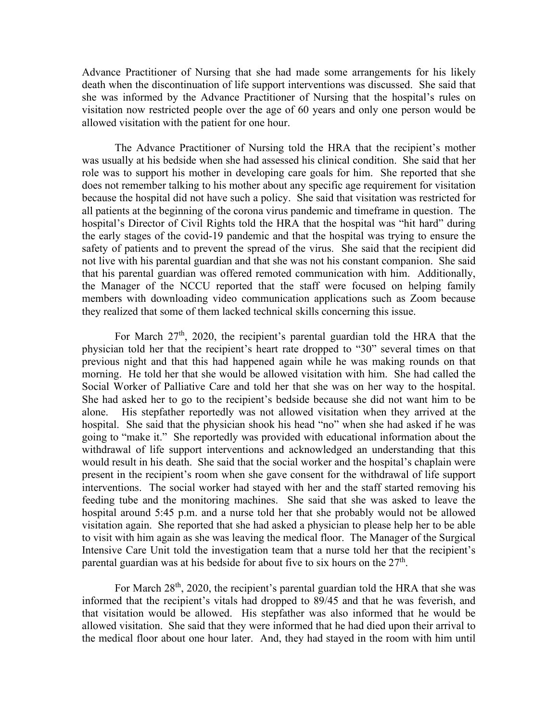Advance Practitioner of Nursing that she had made some arrangements for his likely death when the discontinuation of life support interventions was discussed. She said that she was informed by the Advance Practitioner of Nursing that the hospital's rules on visitation now restricted people over the age of 60 years and only one person would be allowed visitation with the patient for one hour.

The Advance Practitioner of Nursing told the HRA that the recipient's mother was usually at his bedside when she had assessed his clinical condition. She said that her role was to support his mother in developing care goals for him. She reported that she does not remember talking to his mother about any specific age requirement for visitation because the hospital did not have such a policy. She said that visitation was restricted for all patients at the beginning of the corona virus pandemic and timeframe in question. The hospital's Director of Civil Rights told the HRA that the hospital was "hit hard" during the early stages of the covid-19 pandemic and that the hospital was trying to ensure the safety of patients and to prevent the spread of the virus. She said that the recipient did not live with his parental guardian and that she was not his constant companion. She said that his parental guardian was offered remoted communication with him. Additionally, the Manager of the NCCU reported that the staff were focused on helping family members with downloading video communication applications such as Zoom because they realized that some of them lacked technical skills concerning this issue.

For March  $27<sup>th</sup>$ , 2020, the recipient's parental guardian told the HRA that the physician told her that the recipient's heart rate dropped to "30" several times on that previous night and that this had happened again while he was making rounds on that morning. He told her that she would be allowed visitation with him. She had called the Social Worker of Palliative Care and told her that she was on her way to the hospital. She had asked her to go to the recipient's bedside because she did not want him to be alone. His stepfather reportedly was not allowed visitation when they arrived at the hospital. She said that the physician shook his head "no" when she had asked if he was going to "make it." She reportedly was provided with educational information about the withdrawal of life support interventions and acknowledged an understanding that this would result in his death. She said that the social worker and the hospital's chaplain were present in the recipient's room when she gave consent for the withdrawal of life support interventions. The social worker had stayed with her and the staff started removing his feeding tube and the monitoring machines. She said that she was asked to leave the hospital around 5:45 p.m. and a nurse told her that she probably would not be allowed visitation again. She reported that she had asked a physician to please help her to be able to visit with him again as she was leaving the medical floor. The Manager of the Surgical Intensive Care Unit told the investigation team that a nurse told her that the recipient's parental guardian was at his bedside for about five to six hours on the  $27<sup>th</sup>$ .

For March  $28<sup>th</sup>$ , 2020, the recipient's parental guardian told the HRA that she was informed that the recipient's vitals had dropped to 89/45 and that he was feverish, and that visitation would be allowed. His stepfather was also informed that he would be allowed visitation. She said that they were informed that he had died upon their arrival to the medical floor about one hour later. And, they had stayed in the room with him until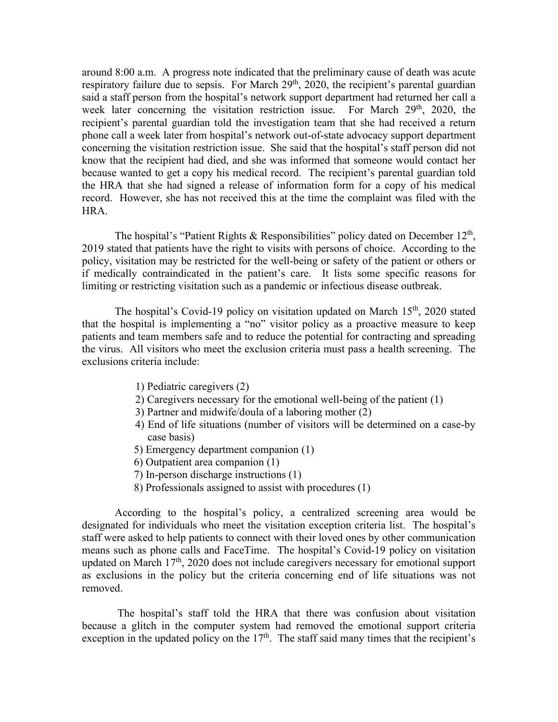around 8:00 a.m. A progress note indicated that the preliminary cause of death was acute respiratory failure due to sepsis. For March  $29<sup>th</sup>$ ,  $2020$ , the recipient's parental guardian said a staff person from the hospital's network support department had returned her call a week later concerning the visitation restriction issue. For March  $29<sup>th</sup>$ ,  $2020$ , the recipient's parental guardian told the investigation team that she had received a return phone call a week later from hospital's network out-of-state advocacy support department concerning the visitation restriction issue. She said that the hospital's staff person did not know that the recipient had died, and she was informed that someone would contact her because wanted to get a copy his medical record. The recipient's parental guardian told the HRA that she had signed a release of information form for a copy of his medical record. However, she has not received this at the time the complaint was filed with the HRA.

The hospital's "Patient Rights & Responsibilities" policy dated on December  $12<sup>th</sup>$ , 2019 stated that patients have the right to visits with persons of choice. According to the policy, visitation may be restricted for the well-being or safety of the patient or others or if medically contraindicated in the patient's care. It lists some specific reasons for limiting or restricting visitation such as a pandemic or infectious disease outbreak.

The hospital's Covid-19 policy on visitation updated on March  $15<sup>th</sup>$ , 2020 stated that the hospital is implementing a "no" visitor policy as a proactive measure to keep patients and team members safe and to reduce the potential for contracting and spreading the virus. All visitors who meet the exclusion criteria must pass a health screening. The exclusions criteria include:

- 1) Pediatric caregivers (2)
- 2) Caregivers necessary for the emotional well-being of the patient (1)
- 3) Partner and midwife/doula of a laboring mother (2)
- 4) End of life situations (number of visitors will be determined on a case-by case basis)
- 5) Emergency department companion (1)
- 6) Outpatient area companion (1)
- 7) In-person discharge instructions (1)
- 8) Professionals assigned to assist with procedures (1)

According to the hospital's policy, a centralized screening area would be designated for individuals who meet the visitation exception criteria list. The hospital's staff were asked to help patients to connect with their loved ones by other communication means such as phone calls and FaceTime. The hospital's Covid-19 policy on visitation updated on March 17<sup>th</sup>, 2020 does not include caregivers necessary for emotional support as exclusions in the policy but the criteria concerning end of life situations was not removed.

The hospital's staff told the HRA that there was confusion about visitation because a glitch in the computer system had removed the emotional support criteria exception in the updated policy on the  $17<sup>th</sup>$ . The staff said many times that the recipient's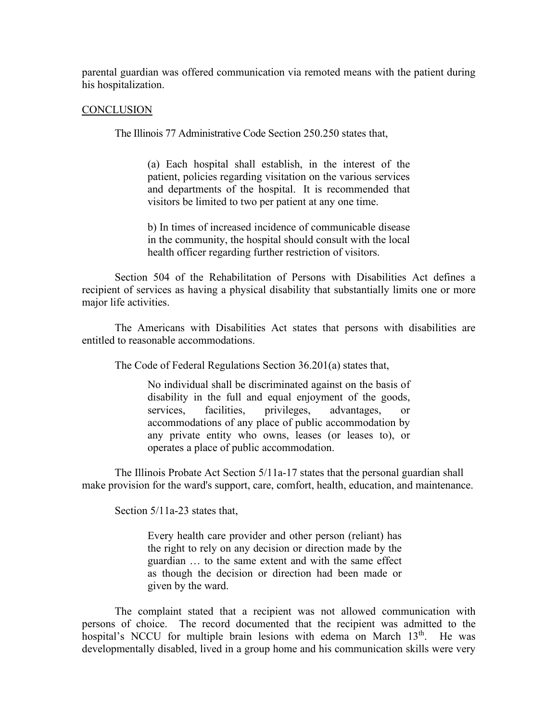parental guardian was offered communication via remoted means with the patient during his hospitalization.

#### **CONCLUSION**

The Illinois 77 Administrative Code Section 250.250 states that,

(a) Each hospital shall establish, in the interest of the patient, policies regarding visitation on the various services and departments of the hospital. It is recommended that visitors be limited to two per patient at any one time.

b) In times of increased incidence of communicable disease in the community, the hospital should consult with the local health officer regarding further restriction of visitors.

Section 504 of the Rehabilitation of Persons with Disabilities Act defines a recipient of services as having a physical disability that substantially limits one or more major life activities.

The Americans with Disabilities Act states that persons with disabilities are entitled to reasonable accommodations.

The Code of Federal Regulations Section 36.201(a) states that,

No individual shall be discriminated against on the basis of [disability](https://www.law.cornell.edu/definitions/index.php?width=840&height=800&iframe=true&def_id=f8744c4cb9d27de14edd923ceef42bba&term_occur=999&term_src=Title:28:Chapter:I:Part:36:Subpart:B:36.201) in the full and equal enjoyment of the goods, services, facilities, privileges, advantages, or accommodations of any [place of public accommodation](https://www.law.cornell.edu/definitions/index.php?width=840&height=800&iframe=true&def_id=c79a9ff817d7caedf59ce269cccc11ed&term_occur=999&term_src=Title:28:Chapter:I:Part:36:Subpart:B:36.201) by any [private entity](https://www.law.cornell.edu/definitions/index.php?width=840&height=800&iframe=true&def_id=7726e1802fa95bd4f30a34c3719bfd23&term_occur=999&term_src=Title:28:Chapter:I:Part:36:Subpart:B:36.201) who owns, leases (or leases to), or operates a [place of public accommodation.](https://www.law.cornell.edu/definitions/index.php?width=840&height=800&iframe=true&def_id=c79a9ff817d7caedf59ce269cccc11ed&term_occur=999&term_src=Title:28:Chapter:I:Part:36:Subpart:B:36.201)

The Illinois Probate Act Section 5/11a-17 states that the personal guardian shall make provision for the ward's support, care, comfort, health, education, and maintenance.

Section 5/11a-23 states that,

Every health care provider and other person (reliant) has the right to rely on any decision or direction made by the guardian … to the same extent and with the same effect as though the decision or direction had been made or given by the ward.

The complaint stated that a recipient was not allowed communication with persons of choice. The record documented that the recipient was admitted to the hospital's NCCU for multiple brain lesions with edema on March 13<sup>th</sup>. He was developmentally disabled, lived in a group home and his communication skills were very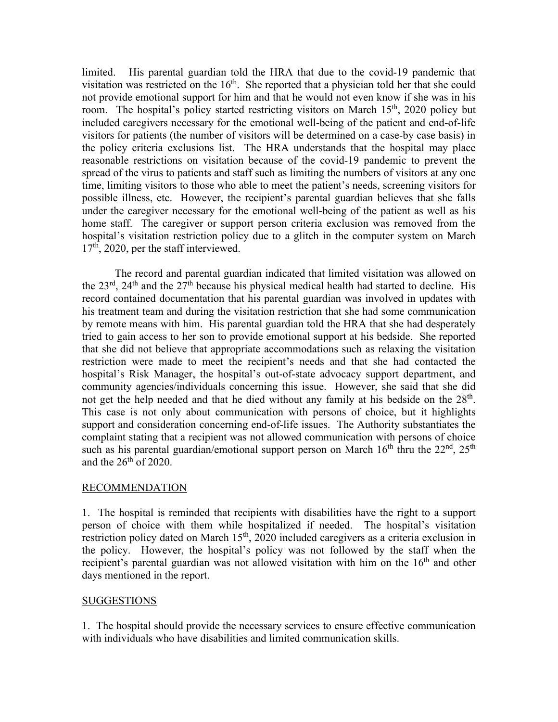limited. His parental guardian told the HRA that due to the covid-19 pandemic that visitation was restricted on the  $16<sup>th</sup>$ . She reported that a physician told her that she could not provide emotional support for him and that he would not even know if she was in his room. The hospital's policy started restricting visitors on March  $15<sup>th</sup>$ , 2020 policy but included caregivers necessary for the emotional well-being of the patient and end-of-life visitors for patients (the number of visitors will be determined on a case-by case basis) in the policy criteria exclusions list. The HRA understands that the hospital may place reasonable restrictions on visitation because of the covid-19 pandemic to prevent the spread of the virus to patients and staff such as limiting the numbers of visitors at any one time, limiting visitors to those who able to meet the patient's needs, screening visitors for possible illness, etc. However, the recipient's parental guardian believes that she falls under the caregiver necessary for the emotional well-being of the patient as well as his home staff. The caregiver or support person criteria exclusion was removed from the hospital's visitation restriction policy due to a glitch in the computer system on March  $17<sup>th</sup>$ , 2020, per the staff interviewed.

The record and parental guardian indicated that limited visitation was allowed on the  $23^{\text{rd}}$ ,  $24^{\text{th}}$  and the  $27^{\text{th}}$  because his physical medical health had started to decline. His record contained documentation that his parental guardian was involved in updates with his treatment team and during the visitation restriction that she had some communication by remote means with him. His parental guardian told the HRA that she had desperately tried to gain access to her son to provide emotional support at his bedside. She reported that she did not believe that appropriate accommodations such as relaxing the visitation restriction were made to meet the recipient's needs and that she had contacted the hospital's Risk Manager, the hospital's out-of-state advocacy support department, and community agencies/individuals concerning this issue. However, she said that she did not get the help needed and that he died without any family at his bedside on the  $28<sup>th</sup>$ . This case is not only about communication with persons of choice, but it highlights support and consideration concerning end-of-life issues. The Authority substantiates the complaint stating that a recipient was not allowed communication with persons of choice such as his parental guardian/emotional support person on March  $16<sup>th</sup>$  thru the  $22<sup>nd</sup>$ ,  $25<sup>th</sup>$ and the  $26<sup>th</sup>$  of 2020.

## RECOMMENDATION

1. The hospital is reminded that recipients with disabilities have the right to a support person of choice with them while hospitalized if needed. The hospital's visitation restriction policy dated on March  $15<sup>th</sup>$ , 2020 included caregivers as a criteria exclusion in the policy. However, the hospital's policy was not followed by the staff when the recipient's parental guardian was not allowed visitation with him on the 16<sup>th</sup> and other days mentioned in the report.

## **SUGGESTIONS**

1. The hospital should provide the necessary services to ensure effective communication with individuals who have disabilities and limited communication skills.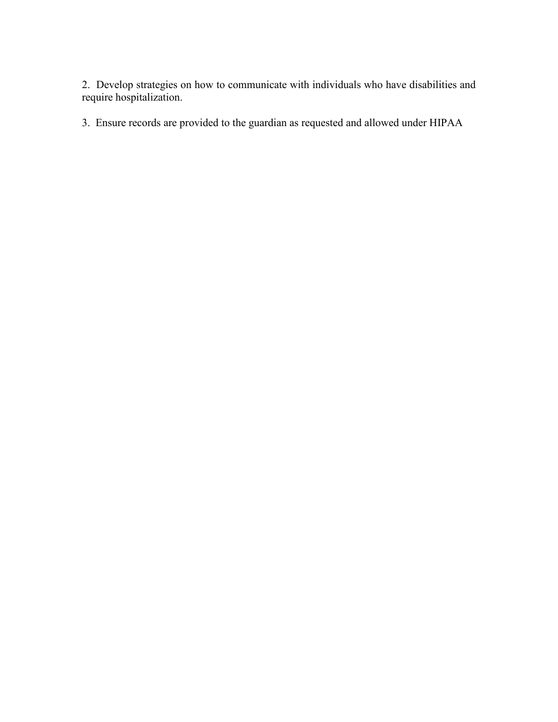2. Develop strategies on how to communicate with individuals who have disabilities and require hospitalization.

3. Ensure records are provided to the guardian as requested and allowed under HIPAA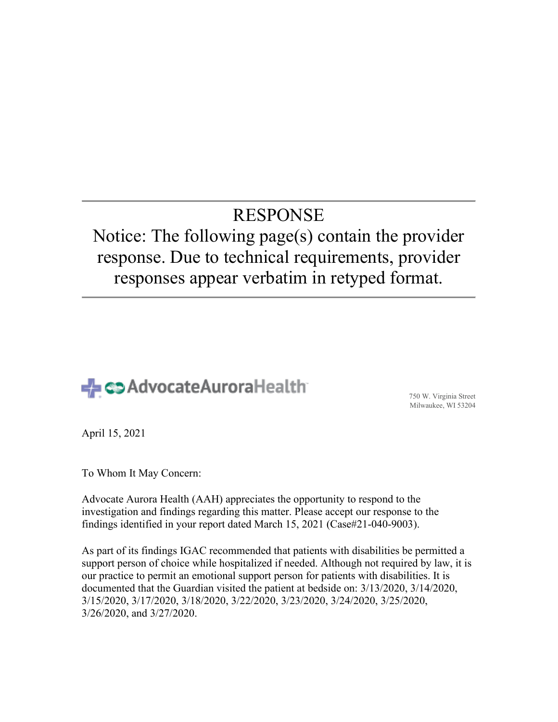# RESPONSE

## Notice: The following page(s) contain the provider response. Due to technical requirements, provider responses appear verbatim in retyped format.



Milwaukee, WI 53204

April 15, 2021

To Whom It May Concern:

Advocate Aurora Health (AAH) appreciates the opportunity to respond to the investigation and findings regarding this matter. Please accept our response to the findings identified in your report dated March 15, 2021 (Case#21-040-9003).

As part of its findings IGAC recommended that patients with disabilities be permitted a support person of choice while hospitalized if needed. Although not required by law, it is our practice to permit an emotional support person for patients with disabilities. It is documented that the Guardian visited the patient at bedside on: 3/13/2020, 3/14/2020, 3/15/2020, 3/17/2020, 3/18/2020, 3/22/2020, 3/23/2020, 3/24/2020, 3/25/2020, 3/26/2020, and 3/27/2020.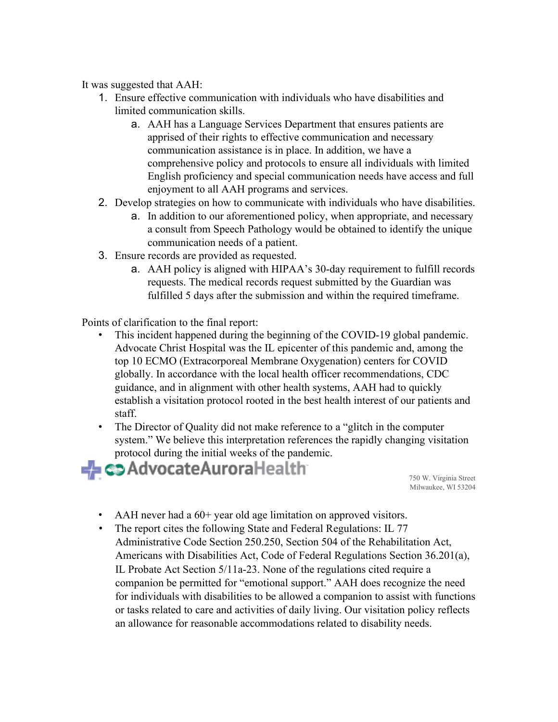It was suggested that AAH:

- 1. Ensure effective communication with individuals who have disabilities and limited communication skills.
	- a. AAH has a Language Services Department that ensures patients are apprised of their rights to effective communication and necessary communication assistance is in place. In addition, we have a comprehensive policy and protocols to ensure all individuals with limited English proficiency and special communication needs have access and full enjoyment to all AAH programs and services.
- 2. Develop strategies on how to communicate with individuals who have disabilities.
	- a. In addition to our aforementioned policy, when appropriate, and necessary a consult from Speech Pathology would be obtained to identify the unique communication needs of a patient.
- 3. Ensure records are provided as requested.
	- a. AAH policy is aligned with HIPAA's 30-day requirement to fulfill records requests. The medical records request submitted by the Guardian was fulfilled 5 days after the submission and within the required timeframe.

Points of clarification to the final report:

- This incident happened during the beginning of the COVID-19 global pandemic. Advocate Christ Hospital was the IL epicenter of this pandemic and, among the top 10 ECMO (Extracorporeal Membrane Oxygenation) centers for COVID globally. In accordance with the local health officer recommendations, CDC guidance, and in alignment with other health systems, AAH had to quickly establish a visitation protocol rooted in the best health interest of our patients and staff.
- The Director of Quality did not make reference to a "glitch in the computer system." We believe this interpretation references the rapidly changing visitation protocol during the initial weeks of the pandemic.



Milwaukee, WI 53204

- AAH never had a 60+ year old age limitation on approved visitors.
- The report cites the following State and Federal Regulations: IL 77 Administrative Code Section 250.250, Section 504 of the Rehabilitation Act, Americans with Disabilities Act, Code of Federal Regulations Section 36.201(a), IL Probate Act Section 5/11a-23. None of the regulations cited require a companion be permitted for "emotional support." AAH does recognize the need for individuals with disabilities to be allowed a companion to assist with functions or tasks related to care and activities of daily living. Our visitation policy reflects an allowance for reasonable accommodations related to disability needs.